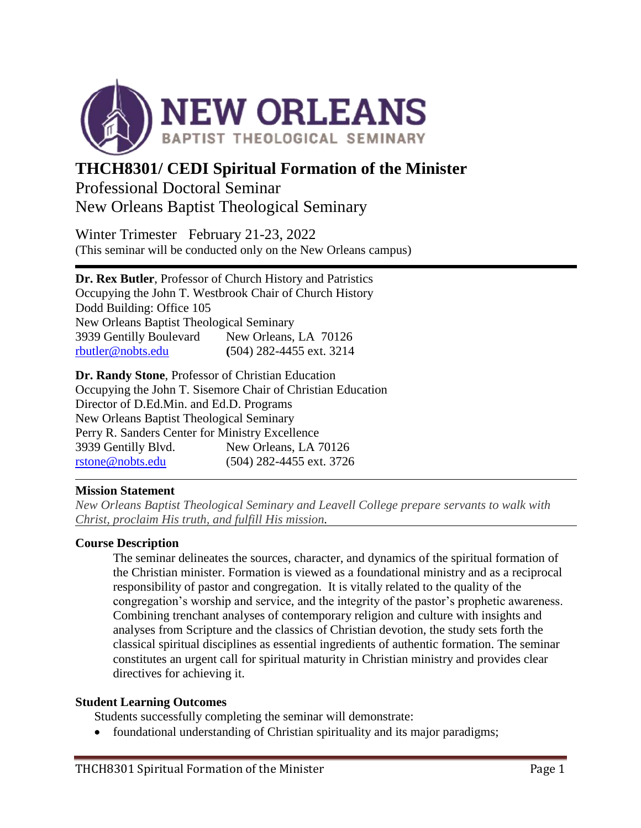

# **THCH8301/ CEDI Spiritual Formation of the Minister** Professional Doctoral Seminar New Orleans Baptist Theological Seminary

Winter Trimester February 21-23, 2022 (This seminar will be conducted only on the New Orleans campus)

**Dr. Rex Butler**, Professor of Church History and Patristics Occupying the John T. Westbrook Chair of Church History Dodd Building: Office 105 New Orleans Baptist Theological Seminary 3939 Gentilly Boulevard New Orleans, LA 70126 [rbutler@nobts.edu](mailto:rbutler@nobts.edu) **(**504) 282-4455 ext. 3214

**Dr. Randy Stone**, Professor of Christian Education Occupying the John T. Sisemore Chair of Christian Education Director of D.Ed.Min. and Ed.D. Programs New Orleans Baptist Theological Seminary Perry R. Sanders Center for Ministry Excellence 3939 Gentilly Blvd. New Orleans, LA 70126 [rstone@nobts.edu](mailto:rstone@nobts.edu) (504) 282-4455 ext. 3726

# **Mission Statement**

*New Orleans Baptist Theological Seminary and Leavell College prepare servants to walk with Christ, proclaim His truth, and fulfill His mission.*

#### **Course Description**

The seminar delineates the sources, character, and dynamics of the spiritual formation of the Christian minister. Formation is viewed as a foundational ministry and as a reciprocal responsibility of pastor and congregation. It is vitally related to the quality of the congregation's worship and service, and the integrity of the pastor's prophetic awareness. Combining trenchant analyses of contemporary religion and culture with insights and analyses from Scripture and the classics of Christian devotion, the study sets forth the classical spiritual disciplines as essential ingredients of authentic formation. The seminar constitutes an urgent call for spiritual maturity in Christian ministry and provides clear directives for achieving it.

#### **Student Learning Outcomes**

Students successfully completing the seminar will demonstrate:

• foundational understanding of Christian spirituality and its major paradigms;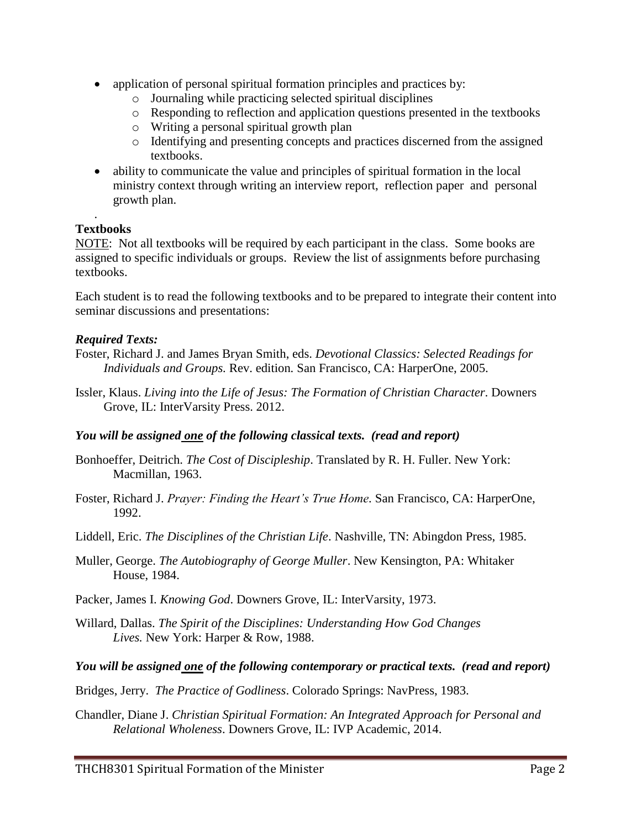- application of personal spiritual formation principles and practices by:
	- o Journaling while practicing selected spiritual disciplines
	- o Responding to reflection and application questions presented in the textbooks
	- o Writing a personal spiritual growth plan
	- o Identifying and presenting concepts and practices discerned from the assigned textbooks.
- ability to communicate the value and principles of spiritual formation in the local ministry context through writing an interview report, reflection paper and personal growth plan.

# **Textbooks**

.

NOTE: Not all textbooks will be required by each participant in the class. Some books are assigned to specific individuals or groups. Review the list of assignments before purchasing textbooks.

Each student is to read the following textbooks and to be prepared to integrate their content into seminar discussions and presentations:

# *Required Texts:*

- Foster, Richard J. and James Bryan Smith, eds. *Devotional Classics: Selected Readings for Individuals and Groups.* Rev. edition*.* San Francisco, CA: HarperOne, 2005.
- Issler, Klaus. *Living into the Life of Jesus: The Formation of Christian Character*. Downers Grove, IL: InterVarsity Press. 2012.

# *You will be assigned one of the following classical texts. (read and report)*

- Bonhoeffer, Deitrich. *The Cost of Discipleship*. Translated by R. H. Fuller. New York: Macmillan, 1963.
- Foster, Richard J. *Prayer: Finding the Heart's True Home.* San Francisco, CA: HarperOne, 1992.
- Liddell, Eric. *The Disciplines of the Christian Life*. Nashville, TN: Abingdon Press, 1985.
- Muller, George. *The Autobiography of George Muller*. New Kensington, PA: Whitaker House, 1984.
- Packer, James I. *Knowing God*. Downers Grove, IL: InterVarsity, 1973.
- Willard, Dallas. *The Spirit of the Disciplines: Understanding How God Changes Lives.* New York: Harper & Row, 1988.

# *You will be assigned one of the following contemporary or practical texts. (read and report)*

- Bridges, Jerry. *The Practice of Godliness*. Colorado Springs: NavPress, 1983.
- Chandler, Diane J. *Christian Spiritual Formation: An Integrated Approach for Personal and Relational Wholeness*. Downers Grove, IL: IVP Academic, 2014.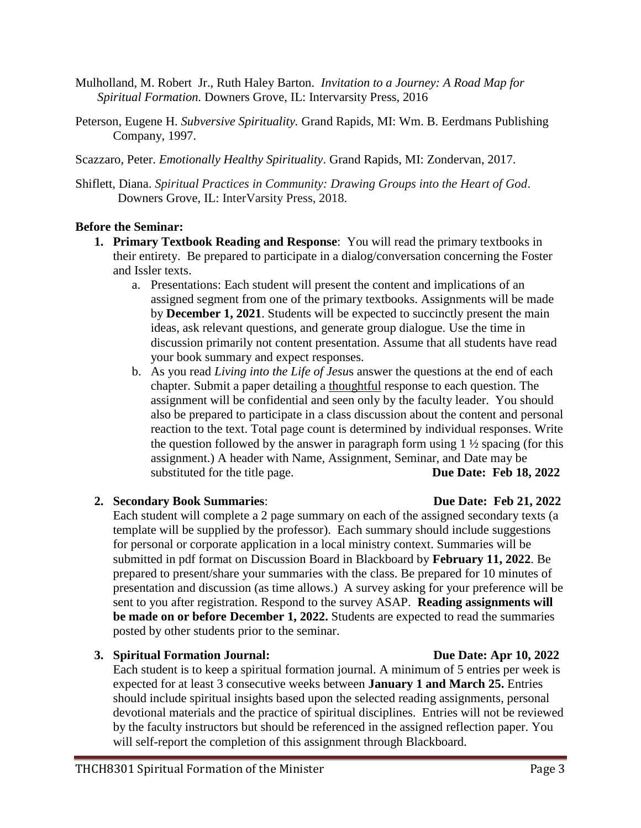- Mulholland, M. Robert Jr., Ruth Haley Barton. *Invitation to a Journey: A Road Map for Spiritual Formation.* Downers Grove, IL: Intervarsity Press, 2016
- Peterson, Eugene H. *Subversive Spirituality.* Grand Rapids, MI: Wm. B. Eerdmans Publishing Company, 1997.
- Scazzaro, Peter. *Emotionally Healthy Spirituality*. Grand Rapids, MI: Zondervan, 2017.
- Shiflett, Diana. *Spiritual Practices in Community: Drawing Groups into the Heart of God*. Downers Grove, IL: InterVarsity Press, 2018.

#### **Before the Seminar:**

- **1. Primary Textbook Reading and Response**: You will read the primary textbooks in their entirety. Be prepared to participate in a dialog/conversation concerning the Foster and Issler texts.
	- a. Presentations: Each student will present the content and implications of an assigned segment from one of the primary textbooks. Assignments will be made by **December 1, 2021**. Students will be expected to succinctly present the main ideas, ask relevant questions, and generate group dialogue. Use the time in discussion primarily not content presentation. Assume that all students have read your book summary and expect responses.
	- b. As you read *Living into the Life of Jesu*s answer the questions at the end of each chapter. Submit a paper detailing a thoughtful response to each question. The assignment will be confidential and seen only by the faculty leader. You should also be prepared to participate in a class discussion about the content and personal reaction to the text. Total page count is determined by individual responses. Write the question followed by the answer in paragraph form using  $1\frac{1}{2}$  spacing (for this assignment.) A header with Name, Assignment, Seminar, and Date may be substituted for the title page. **Due Date: Feb 18, 2022**

# **2. Secondary Book Summaries**: **Due Date: Feb 21, 2022**

Each student will complete a 2 page summary on each of the assigned secondary texts (a template will be supplied by the professor). Each summary should include suggestions for personal or corporate application in a local ministry context. Summaries will be submitted in pdf format on Discussion Board in Blackboard by **February 11, 2022**. Be prepared to present/share your summaries with the class. Be prepared for 10 minutes of presentation and discussion (as time allows.) A survey asking for your preference will be sent to you after registration. Respond to the survey ASAP. **Reading assignments will be made on or before December 1, 2022.** Students are expected to read the summaries posted by other students prior to the seminar.

# **3. Spiritual Formation Journal: Due Date: Apr 10, 2022**

Each student is to keep a spiritual formation journal. A minimum of 5 entries per week is expected for at least 3 consecutive weeks between **January 1 and March 25.** Entries should include spiritual insights based upon the selected reading assignments, personal devotional materials and the practice of spiritual disciplines. Entries will not be reviewed by the faculty instructors but should be referenced in the assigned reflection paper. You will self-report the completion of this assignment through Blackboard.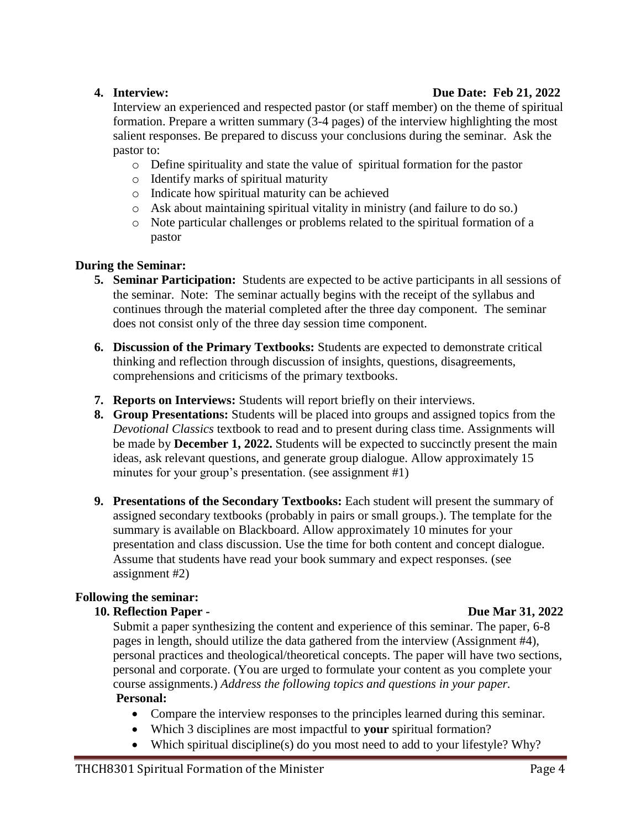# **4. Interview:****Due Date: Feb 21, 2022**

Interview an experienced and respected pastor (or staff member) on the theme of spiritual formation. Prepare a written summary (3-4 pages) of the interview highlighting the most salient responses. Be prepared to discuss your conclusions during the seminar. Ask the pastor to:

- o Define spirituality and state the value of spiritual formation for the pastor
- o Identify marks of spiritual maturity
- o Indicate how spiritual maturity can be achieved
- o Ask about maintaining spiritual vitality in ministry (and failure to do so.)
- o Note particular challenges or problems related to the spiritual formation of a pastor

# **During the Seminar:**

- **5. Seminar Participation:** Students are expected to be active participants in all sessions of the seminar. Note: The seminar actually begins with the receipt of the syllabus and continues through the material completed after the three day component. The seminar does not consist only of the three day session time component.
- **6. Discussion of the Primary Textbooks:** Students are expected to demonstrate critical thinking and reflection through discussion of insights, questions, disagreements, comprehensions and criticisms of the primary textbooks.
- **7. Reports on Interviews:** Students will report briefly on their interviews.
- **8. Group Presentations:** Students will be placed into groups and assigned topics from the *Devotional Classics* textbook to read and to present during class time. Assignments will be made by **December 1, 2022.** Students will be expected to succinctly present the main ideas, ask relevant questions, and generate group dialogue. Allow approximately 15 minutes for your group's presentation. (see assignment #1)
- **9. Presentations of the Secondary Textbooks:** Each student will present the summary of assigned secondary textbooks (probably in pairs or small groups.). The template for the summary is available on Blackboard. Allow approximately 10 minutes for your presentation and class discussion. Use the time for both content and concept dialogue. Assume that students have read your book summary and expect responses. (see assignment #2)

# **Following the seminar:**

# **10. Reflection Paper - Due Mar 31, 2022**

Submit a paper synthesizing the content and experience of this seminar. The paper, 6-8 pages in length, should utilize the data gathered from the interview (Assignment #4), personal practices and theological/theoretical concepts. The paper will have two sections, personal and corporate. (You are urged to formulate your content as you complete your course assignments.) *Address the following topics and questions in your paper.* **Personal:**

- Compare the interview responses to the principles learned during this seminar.
- Which 3 disciplines are most impactful to **your** spiritual formation?
- Which spiritual discipline(s) do you most need to add to your lifestyle? Why?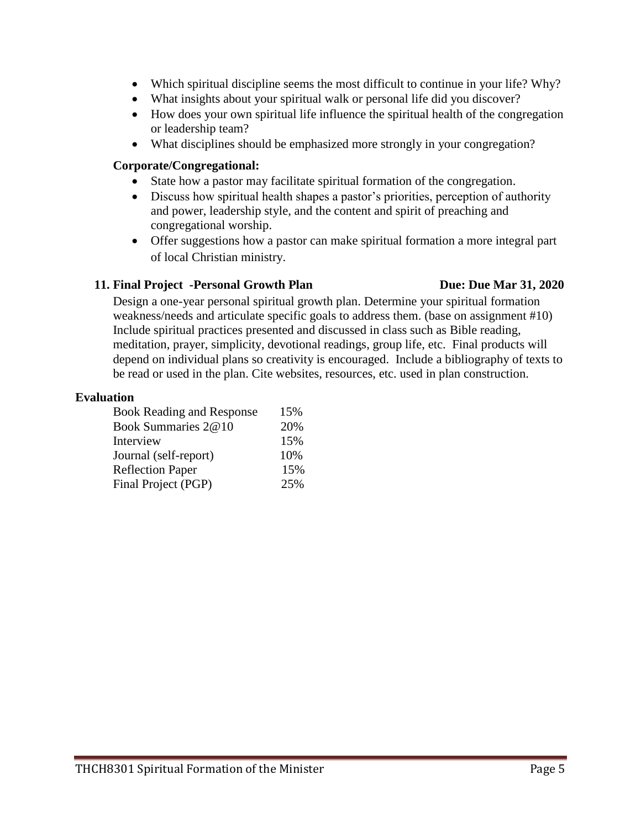- Which spiritual discipline seems the most difficult to continue in your life? Why?
- What insights about your spiritual walk or personal life did you discover?
- How does your own spiritual life influence the spiritual health of the congregation or leadership team?
- What disciplines should be emphasized more strongly in your congregation?

#### **Corporate/Congregational:**

- State how a pastor may facilitate spiritual formation of the congregation.
- Discuss how spiritual health shapes a pastor's priorities, perception of authority and power, leadership style, and the content and spirit of preaching and congregational worship.
- Offer suggestions how a pastor can make spiritual formation a more integral part of local Christian ministry.

#### **11. Final Project -Personal Growth Plan Due: Due: Due Mar 31, 2020**

Design a one-year personal spiritual growth plan. Determine your spiritual formation weakness/needs and articulate specific goals to address them. (base on assignment #10) Include spiritual practices presented and discussed in class such as Bible reading, meditation, prayer, simplicity, devotional readings, group life, etc. Final products will depend on individual plans so creativity is encouraged. Include a bibliography of texts to be read or used in the plan. Cite websites, resources, etc. used in plan construction.

#### **Evaluation**

| <b>Book Reading and Response</b> | 15% |
|----------------------------------|-----|
| Book Summaries 2@10              | 20% |
| Interview                        | 15% |
| Journal (self-report)            | 10% |
| <b>Reflection Paper</b>          | 15% |
| Final Project (PGP)              | 25% |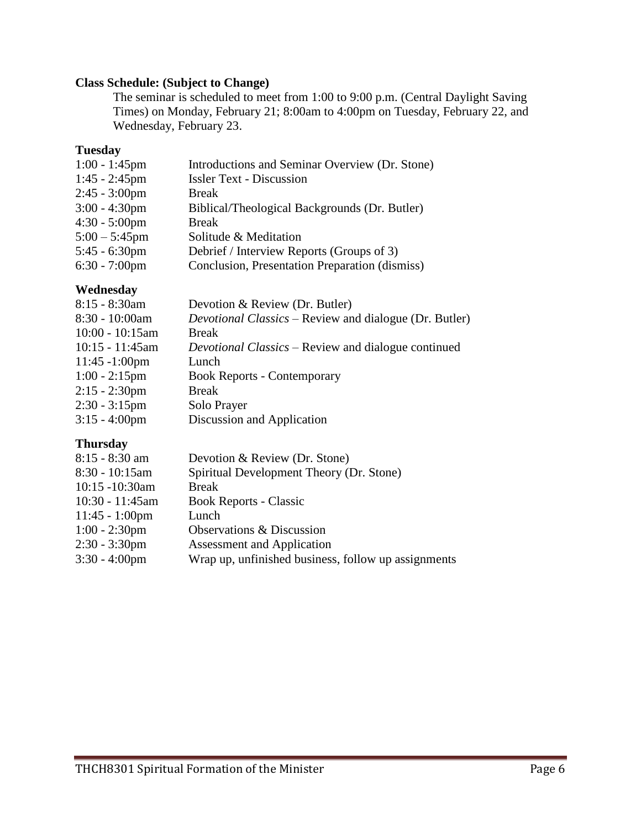# **Class Schedule: (Subject to Change)**

The seminar is scheduled to meet from 1:00 to 9:00 p.m. (Central Daylight Saving Times) on Monday, February 21; 8:00am to 4:00pm on Tuesday, February 22, and Wednesday, February 23.

#### **Tuesday**

| Introductions and Seminar Overview (Dr. Stone) |
|------------------------------------------------|
| <b>Issler Text - Discussion</b>                |
| <b>Break</b>                                   |
| Biblical/Theological Backgrounds (Dr. Butler)  |
| <b>Break</b>                                   |
| Solitude & Meditation                          |
| Debrief / Interview Reports (Groups of 3)      |
| Conclusion, Presentation Preparation (dismiss) |
|                                                |

# **Wednesday**

| Devotion & Review (Dr. Butler)                                |
|---------------------------------------------------------------|
| <i>Devotional Classics</i> – Review and dialogue (Dr. Butler) |
| <b>Break</b>                                                  |
| <i>Devotional Classics</i> – Review and dialogue continued    |
| Lunch                                                         |
| <b>Book Reports - Contemporary</b>                            |
| <b>Break</b>                                                  |
| Solo Prayer                                                   |
| Discussion and Application                                    |
|                                                               |

# **Thursday**

| $8:15 - 8:30$ am         | Devotion & Review (Dr. Stone)                       |
|--------------------------|-----------------------------------------------------|
| $8:30 - 10:15$ am        | Spiritual Development Theory (Dr. Stone)            |
| 10:15 -10:30am           | <b>Break</b>                                        |
| 10:30 - 11:45am          | <b>Book Reports - Classic</b>                       |
| $11:45 - 1:00 \text{pm}$ | Lunch                                               |
| $1:00 - 2:30$ pm         | Observations & Discussion                           |
| $2:30 - 3:30$ pm         | <b>Assessment and Application</b>                   |
| $3:30 - 4:00$ pm         | Wrap up, unfinished business, follow up assignments |
|                          |                                                     |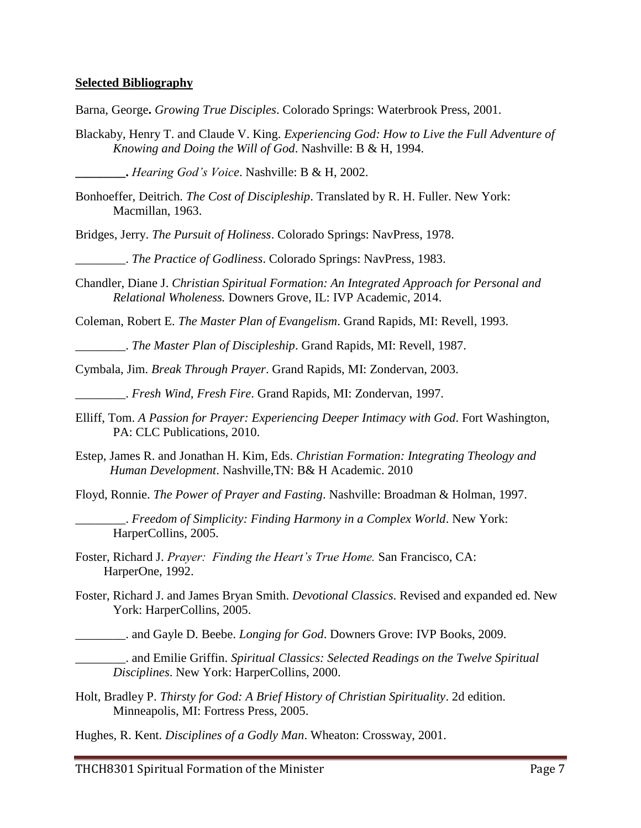#### **Selected Bibliography**

Barna, George**.** *Growing True Disciples*. Colorado Springs: Waterbrook Press, 2001.

Blackaby, Henry T. and Claude V. King. *Experiencing God: How to Live the Full Adventure of Knowing and Doing the Will of God*. Nashville: B & H, 1994.

**\_\_\_\_\_\_\_\_.** *Hearing God's Voice*. Nashville: B & H, 2002.

- Bonhoeffer, Deitrich. *The Cost of Discipleship*. Translated by R. H. Fuller. New York: Macmillan, 1963.
- Bridges, Jerry. *The Pursuit of Holiness*. Colorado Springs: NavPress, 1978.

\_\_\_\_\_\_\_\_. *The Practice of Godliness*. Colorado Springs: NavPress, 1983.

Chandler, Diane J. *Christian Spiritual Formation: An Integrated Approach for Personal and Relational Wholeness.* Downers Grove, IL: IVP Academic, 2014.

Coleman, Robert E. *The Master Plan of Evangelism*. Grand Rapids, MI: Revell, 1993.

\_\_\_\_\_\_\_\_. *The Master Plan of Discipleship*. Grand Rapids, MI: Revell, 1987.

Cymbala, Jim. *Break Through Prayer*. Grand Rapids, MI: Zondervan, 2003.

\_\_\_\_\_\_\_\_. *Fresh Wind, Fresh Fire*. Grand Rapids, MI: Zondervan, 1997.

- Elliff, Tom. *A Passion for Prayer: Experiencing Deeper Intimacy with God*. Fort Washington, PA: CLC Publications, 2010.
- Estep, James R. and Jonathan H. Kim, Eds. *Christian Formation: Integrating Theology and Human Development*. Nashville,TN: B& H Academic. 2010
- Floyd, Ronnie. *The Power of Prayer and Fasting*. Nashville: Broadman & Holman, 1997.

\_\_\_\_\_\_\_\_. *Freedom of Simplicity: Finding Harmony in a Complex World*. New York: HarperCollins, 2005.

Foster, Richard J. *Prayer: Finding the Heart's True Home.* San Francisco, CA: HarperOne, 1992.

- Foster, Richard J. and James Bryan Smith. *Devotional Classics*. Revised and expanded ed. New York: HarperCollins, 2005.
	- \_\_\_\_\_\_\_\_. and Gayle D. Beebe. *Longing for God*. Downers Grove: IVP Books, 2009.

\_\_\_\_\_\_\_\_. and Emilie Griffin. *Spiritual Classics: Selected Readings on the Twelve Spiritual Disciplines*. New York: HarperCollins, 2000.

Holt, Bradley P. *Thirsty for God: A Brief History of Christian Spirituality*. 2d edition. Minneapolis, MI: Fortress Press, 2005.

Hughes, R. Kent. *Disciplines of a Godly Man*. Wheaton: Crossway, 2001.